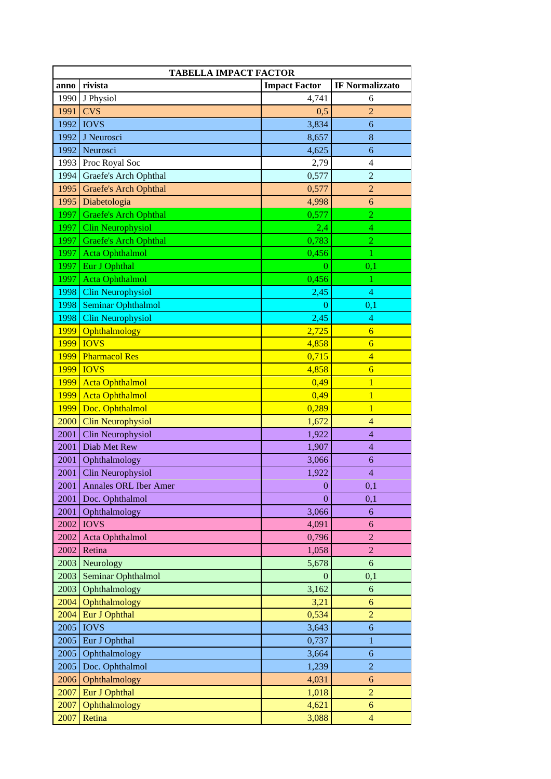| <b>TABELLA IMPACT FACTOR</b> |                              |                      |                        |  |
|------------------------------|------------------------------|----------------------|------------------------|--|
| anno                         | rivista                      | <b>Impact Factor</b> | <b>IF Normalizzato</b> |  |
| 1990                         | J Physiol                    | 4,741                | 6                      |  |
| 1991                         | <b>CVS</b>                   | 0,5                  | $\overline{c}$         |  |
| 1992                         | <b>IOVS</b>                  | 3,834                | 6                      |  |
| 1992                         | J Neurosci                   | 8,657                | $\bf 8$                |  |
| 1992                         | Neurosci                     | 4,625                | 6                      |  |
| 1993                         | Proc Royal Soc               | 2,79                 | $\overline{4}$         |  |
| 1994                         | Graefe's Arch Ophthal        | 0,577                | $\overline{2}$         |  |
| 1995                         | <b>Graefe's Arch Ophthal</b> | 0,577                | $\boldsymbol{2}$       |  |
| 1995                         | Diabetologia                 | 4,998                | 6                      |  |
| 1997                         | <b>Graefe's Arch Ophthal</b> | 0,577                | $\overline{2}$         |  |
| 1997                         | <b>Clin Neurophysiol</b>     | 2,4                  | $\overline{4}$         |  |
| 1997                         | <b>Graefe's Arch Ophthal</b> | 0,783                | $\boldsymbol{2}$       |  |
| 1997                         | <b>Acta Ophthalmol</b>       | 0,456                | 1                      |  |
| 1997                         | Eur J Ophthal                | $\overline{0}$       | 0,1                    |  |
| 1997                         | <b>Acta Ophthalmol</b>       | 0,456                | 1                      |  |
| 1998                         | <b>Clin Neurophysiol</b>     | 2,45                 | $\overline{4}$         |  |
| 1998                         | <b>Seminar Ophthalmol</b>    | 0                    | 0,1                    |  |
| 1998                         | <b>Clin Neurophysiol</b>     | 2,45                 | $\overline{4}$         |  |
| <b>1999</b>                  | Ophthalmology                | 2,725                | $\overline{6}$         |  |
| 1999                         | <b>IOVS</b>                  | 4,858                | $\overline{6}$         |  |
| 1999                         | <b>Pharmacol Res</b>         | 0,715                | $\overline{4}$         |  |
| 1999                         | <b>IOVS</b>                  | 4,858                | $\overline{6}$         |  |
| 1999                         | <b>Acta Ophthalmol</b>       | 0,49                 | $\overline{1}$         |  |
| 1999                         | <b>Acta Ophthalmol</b>       | 0,49                 | $\mathbf{1}$           |  |
| 1999                         | Doc. Ophthalmol              | 0,289                | $\overline{1}$         |  |
| 2000                         | <b>Clin Neurophysiol</b>     | 1,672                | $\overline{4}$         |  |
| 2001                         | Clin Neurophysiol            | 1,922                | $\overline{4}$         |  |
| 2001                         | Diab Met Rew                 | 1,907                | $\overline{4}$         |  |
| 2001                         | Ophthalmology                | 3,066                | 6                      |  |
| 2001                         | Clin Neurophysiol            | 1,922                | $\overline{4}$         |  |
| 2001                         | <b>Annales ORL Iber Amer</b> | $\boldsymbol{0}$     | 0,1                    |  |
| 2001                         | Doc. Ophthalmol              | $\Omega$             | 0,1                    |  |
| 2001                         | Ophthalmology                | 3,066                | 6                      |  |
| 2002                         | <b>IOVS</b>                  | 4,091                | 6                      |  |
| 2002                         | Acta Ophthalmol              | 0,796                | $\overline{2}$         |  |
| 2002                         | Retina                       | 1,058                | $\overline{c}$         |  |
| 2003                         | Neurology                    | 5,678                | 6                      |  |
| 2003                         | Seminar Ophthalmol           | 0                    | 0,1                    |  |
| 2003                         | Ophthalmology                | 3,162                | 6                      |  |
| 2004                         | Ophthalmology                | 3,21                 | 6                      |  |
| 2004                         | Eur J Ophthal                | 0,534                | $\overline{2}$         |  |
| 2005                         | <b>IOVS</b>                  | 3,643                | 6                      |  |
| 2005                         | Eur J Ophthal                | 0,737                | $\mathbf{1}$           |  |
| 2005                         | Ophthalmology                | 3,664                | 6                      |  |
| 2005                         | Doc. Ophthalmol              | 1,239                | $\overline{2}$         |  |
| 2006                         | Ophthalmology                | 4,031                | 6                      |  |
| 2007                         | Eur J Ophthal                | 1,018                | $\overline{2}$         |  |
| 2007                         | Ophthalmology                | 4,621                | 6                      |  |
| 2007                         | Retina                       | 3,088                | $\overline{4}$         |  |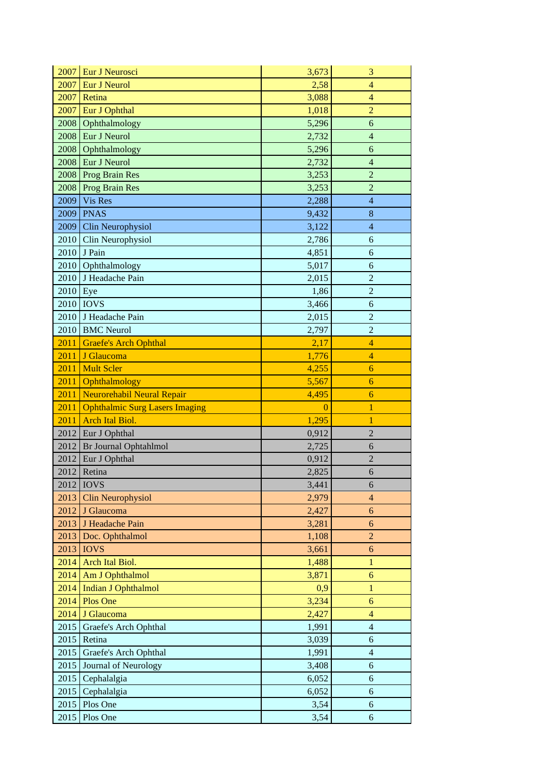| 2007<br>Eur J Neurosci<br>3,673<br>3                                                            |  |
|-------------------------------------------------------------------------------------------------|--|
| 2007<br>Eur J Neurol<br>2,58<br>$\overline{4}$                                                  |  |
| 2007<br>Retina<br>3,088<br>$\overline{4}$                                                       |  |
| Eur J Ophthal<br>2007<br>$\overline{2}$<br>1,018                                                |  |
| 2008<br>Ophthalmology<br>5,296<br>6                                                             |  |
| 2008<br>Eur J Neurol<br>2,732<br>$\overline{4}$                                                 |  |
| 2008<br>Ophthalmology<br>5,296<br>6                                                             |  |
| Eur J Neurol<br>2008<br>2,732<br>$\overline{4}$                                                 |  |
| 2008<br>Prog Brain Res<br>3,253<br>$\overline{2}$                                               |  |
| <b>Prog Brain Res</b><br>$\overline{2}$<br>2008<br>3,253                                        |  |
| 2009<br>Vis Res<br>2,288<br>$\overline{4}$                                                      |  |
| 2009<br><b>PNAS</b><br>8<br>9,432                                                               |  |
| 2009<br>Clin Neurophysiol<br>3,122<br>$\overline{4}$                                            |  |
| 2010<br>Clin Neurophysiol<br>2,786<br>6                                                         |  |
| J Pain<br>2010<br>4,851<br>6                                                                    |  |
| 2010<br>Ophthalmology<br>5,017<br>6                                                             |  |
| $\boldsymbol{2}$<br>2010<br>J Headache Pain<br>2,015                                            |  |
| 2010<br>Eye<br>$\overline{2}$<br>1,86                                                           |  |
| 2010<br><b>IOVS</b><br>3,466<br>6                                                               |  |
| 2,015<br>2010<br>J Headache Pain<br>$\mathfrak{2}% =\mathfrak{2}\times\mathfrak{2}\mathfrak{2}$ |  |
| <b>BMC</b> Neurol<br>$\overline{2}$<br>2010<br>2,797                                            |  |
| <b>Graefe's Arch Ophthal</b><br>2011<br>2,17<br>$\overline{4}$                                  |  |
| 2011<br>J Glaucoma<br>$\overline{4}$<br>1,776                                                   |  |
| <b>Mult Scler</b><br>2011<br>4,255<br>6                                                         |  |
| 5,567<br>2011<br>Ophthalmology<br>6                                                             |  |
| 2011<br>Neurorehabil Neural Repair<br>4,495<br>6                                                |  |
| 2011<br><b>Ophthalmic Surg Lasers Imaging</b><br>$\overline{0}$<br>$\mathbf{1}$                 |  |
| 1,295<br>2011<br><b>Arch Ital Biol.</b><br>1                                                    |  |
| 2012<br>Eur J Ophthal<br>$\overline{2}$<br>0,912                                                |  |
| Br Journal Ophtahlmol<br>2012<br>2,725<br>6                                                     |  |
| 2012<br>$\overline{2}$<br>Eur J Ophthal<br>0,912                                                |  |
| 2012<br>Retina<br>2,825<br>6                                                                    |  |
| 2012 <b>IOVS</b><br>3,441<br>6                                                                  |  |
| 2013<br>2,979<br>Clin Neurophysiol<br>4                                                         |  |
| 2012<br>J Glaucoma<br>6<br>2,427                                                                |  |
| J Headache Pain<br>2013<br>3,281<br>6                                                           |  |
| Doc. Ophthalmol<br>2013<br>$\overline{2}$<br>1,108                                              |  |
| 2013<br><b>IOVS</b><br>3,661<br>$\boldsymbol{6}$                                                |  |
| Arch Ital Biol.<br>2014<br>1,488<br>$\mathbf{1}$                                                |  |
| 2014<br>Am J Ophthalmol<br>3,871<br>6                                                           |  |
| <b>Indian J Ophthalmol</b><br>2014<br>$\mathbf{1}$<br>0,9                                       |  |
| 2014<br>Plos One<br>3,234<br>6                                                                  |  |
| 2014<br>J Glaucoma<br>2,427<br>$\overline{4}$                                                   |  |
| $\overline{4}$<br>2015<br>Graefe's Arch Ophthal<br>1,991                                        |  |
| 2015<br>Retina<br>$\sqrt{6}$<br>3,039                                                           |  |
| 2015<br>Graefe's Arch Ophthal<br>1,991<br>$\overline{4}$                                        |  |
| 2015<br>Journal of Neurology<br>3,408<br>6                                                      |  |
| 2015<br>Cephalalgia<br>6,052<br>6                                                               |  |
| 2015<br>Cephalalgia<br>6,052<br>6                                                               |  |
| 2015<br>Plos One<br>3,54<br>6                                                                   |  |
| 2015<br>Plos One<br>3,54<br>6                                                                   |  |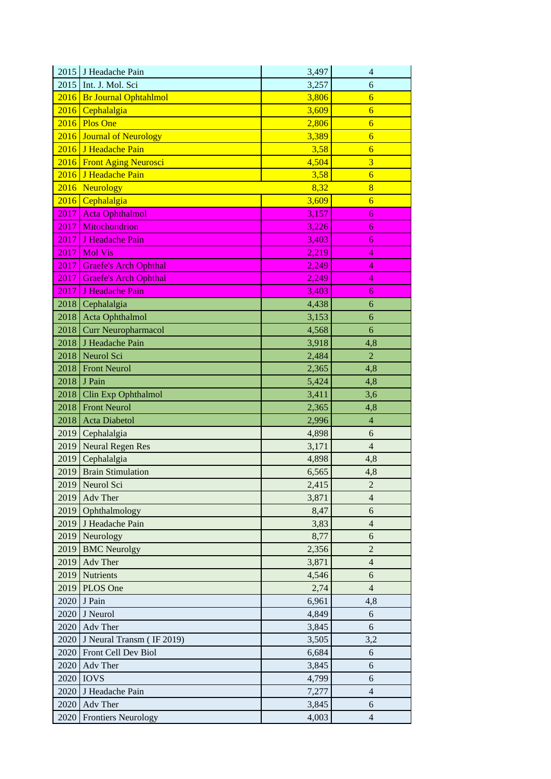| 2015 | J Headache Pain              | 3,497 | $\overline{4}$ |
|------|------------------------------|-------|----------------|
| 2015 | Int. J. Mol. Sci             | 3,257 | 6              |
|      | 2016 Br Journal Ophtahlmol   | 3,806 | $\overline{6}$ |
|      | 2016 Cephalalgia             | 3,609 | $\overline{6}$ |
|      | $2016$ Plos One              | 2,806 | $\overline{6}$ |
|      | 2016 Journal of Neurology    | 3,389 | $\overline{6}$ |
|      | 2016 J Headache Pain         | 3,58  | $\overline{6}$ |
|      | 2016 Front Aging Neurosci    | 4,504 | $\overline{3}$ |
|      | 2016 J Headache Pain         | 3,58  | $\overline{6}$ |
|      | 2016 Neurology               | 8,32  | 8              |
| 2016 | Cephalalgia                  | 3,609 | $\overline{6}$ |
| 2017 | <b>Acta Ophthalmol</b>       | 3,157 | 6              |
| 2017 | Mitochondrion                | 3,226 | $\overline{6}$ |
| 2017 | J Headache Pain              | 3,403 | 6              |
| 2017 | <b>Mol Vis</b>               | 2,219 | 4              |
| 2017 | Graefe's Arch Ophthal        | 2,249 | 4              |
| 2017 | <b>Graefe's Arch Ophthal</b> | 2,249 | 4              |
| 2017 | J Headache Pain              | 3,403 | 6              |
|      | 2018 Cephalalgia             | 4,438 | 6              |
| 2018 | Acta Ophthalmol              | 3,153 | 6              |
| 2018 | Curr Neuropharmacol          | 4,568 | 6              |
| 2018 | J Headache Pain              | 3,918 | 4,8            |
| 2018 | Neurol Sci                   | 2,484 | $\overline{2}$ |
|      | 2018 Front Neurol            | 2,365 | 4,8            |
|      | 2018 J Pain                  | 5,424 | 4,8            |
| 2018 | Clin Exp Ophthalmol          | 3,411 | 3,6            |
|      | 2018 Front Neurol            | 2,365 | 4,8            |
| 2018 | <b>Acta Diabetol</b>         | 2,996 | $\overline{4}$ |
| 2019 | Cephalalgia                  | 4,898 | 6              |
| 2019 | Neural Regen Res             | 3,171 | $\overline{4}$ |
| 2019 | Cephalalgia                  | 4,898 | 4,8            |
| 2019 | <b>Brain Stimulation</b>     | 6,565 | 4,8            |
| 2019 | Neurol Sci                   | 2,415 | $\overline{c}$ |
| 2019 | Adv Ther                     | 3,871 | $\overline{4}$ |
| 2019 | Ophthalmology                | 8,47  | 6              |
|      | 2019 J Headache Pain         | 3,83  | $\overline{4}$ |
|      | 2019 Neurology               | 8,77  | 6              |
| 2019 | <b>BMC</b> Neurolgy          | 2,356 | $\sqrt{2}$     |
| 2019 | Adv Ther                     | 3,871 | $\overline{4}$ |
| 2019 | Nutrients                    | 4,546 | 6              |
| 2019 | PLOS One                     | 2,74  | $\overline{4}$ |
| 2020 | J Pain                       | 6,961 | 4,8            |
| 2020 | J Neurol                     | 4,849 | 6              |
| 2020 | Adv Ther                     | 3,845 | $6\,$          |
| 2020 | J Neural Transm (IF 2019)    | 3,505 | 3,2            |
| 2020 | Front Cell Dev Biol          | 6,684 | 6              |
| 2020 | Adv Ther                     | 3,845 | 6              |
| 2020 | <b>IOVS</b>                  | 4,799 | $\sqrt{6}$     |
| 2020 | J Headache Pain              | 7,277 | $\overline{4}$ |
| 2020 | Adv Ther                     | 3,845 | 6              |
| 2020 | <b>Frontiers Neurology</b>   | 4,003 | $\overline{4}$ |